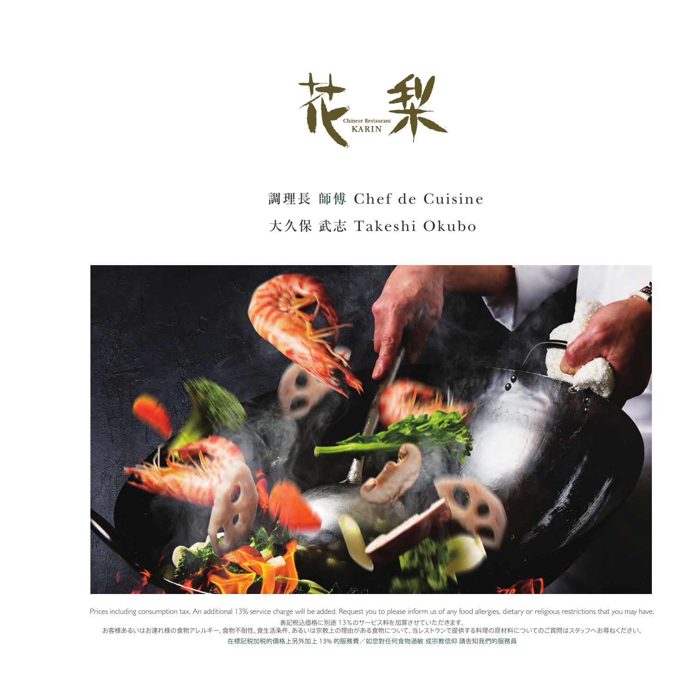

# 調理長 師傅 Chef de Cuisine 大久保 武志 Takeshi Okubo



表記税込価格に別途 13%のサービス料を加算させていただきます。 Prices including consumption tax. An additional 13% service charge will be added. Request you to please inform us of any food allergies, dietary or religious restrictions that you may have.

お客様あるいはお連れ様の食物アレルギー、食物不耐性、食生活条件、あるいは宗教上の理由がある食物について、当レストランで提供する料理の原材料についてのご質問はスタッフへお尋ねください。 在標記税加税的價格上另外加上 13% 的服務費/如䓟對任何食物過敏 或宗教信仰 請告知我們的服務員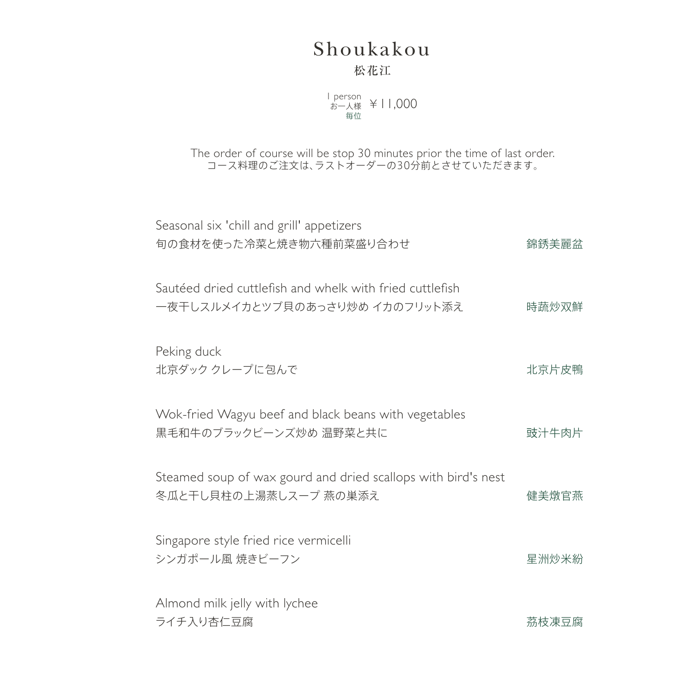## Shoukakou 松花江

l person<br>お一人様 ¥ | 1,000 毎位

The order of course will be stop 30 minutes prior the time of last order. コース料理のご注文は、ラストオーダーの30分前とさせていただきます。

| Seasonal six 'chill and grill' appetizers<br>旬の食材を使った冷菜と焼き物六種前菜盛り合わせ                       | 錦銹美麗盆 |
|--------------------------------------------------------------------------------------------|-------|
| Sautéed dried cuttlefish and whelk with fried cuttlefish<br>一夜干しスルメイカとツブ貝のあっさり炒め イカのフリット添え | 時蔬炒双鮮 |
| Peking duck<br>北京ダック クレープに包んで                                                              | 北京片皮鴨 |
| Wok-fried Wagyu beef and black beans with vegetables<br>黒毛和牛のブラックビーンズ炒め温野菜と共に              | 豉汁牛肉片 |
| Steamed soup of wax gourd and dried scallops with bird's nest<br>冬瓜と干し貝柱の上湯蒸しスープ 燕の巣添え     | 健美燉官燕 |
| Singapore style fried rice vermicelli<br>シンガポール風 焼きビーフン                                    | 星洲炒米紛 |
| Almond milk jelly with lychee<br>ライチ入り杏仁豆腐                                                 | 茘枝凍豆腐 |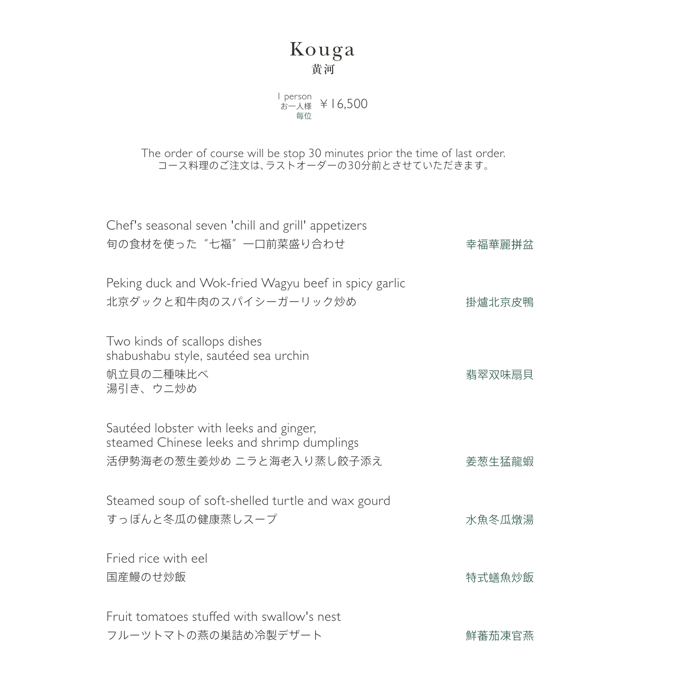### Kouga 黄河

l person<br>お一人様 ¥ 16,500 毎位

The order of course will be stop 30 minutes prior the time of last order. コース料理のご注文は、ラストオーダーの30分前とさせていただきます。

| Chef's seasonal seven 'chill and grill' appetizers<br>旬の食材を使った"七福"一口前菜盛り合わせ                                       | 幸福華麗拼盆 |
|-------------------------------------------------------------------------------------------------------------------|--------|
| Peking duck and Wok-fried Wagyu beef in spicy garlic<br>北京ダックと和牛肉のスパイシーガーリック炒め                                    | 掛爐北京皮鴨 |
| Two kinds of scallops dishes<br>shabushabu style, sautéed sea urchin<br>帆立貝の二種味比べ<br>湯引き、ウニ炒め                     | 翡翠双味扇貝 |
| Sautéed lobster with leeks and ginger,<br>steamed Chinese leeks and shrimp dumplings<br>活伊勢海老の葱生姜炒め ニラと海老入り蒸し餃子添え | 姜葱生猛龍蝦 |
| Steamed soup of soft-shelled turtle and wax gourd<br>すっぽんと冬瓜の健康蒸しスープ                                              | 水魚冬瓜燉湯 |
| Fried rice with eel<br>国産鰻のせ炒飯                                                                                    | 特式蟮魚炒飯 |
| Fruit tomatoes stuffed with swallow's nest<br>フルーツトマトの燕の巣詰め冷製デザート                                                 | 鮮蕃茄凍官燕 |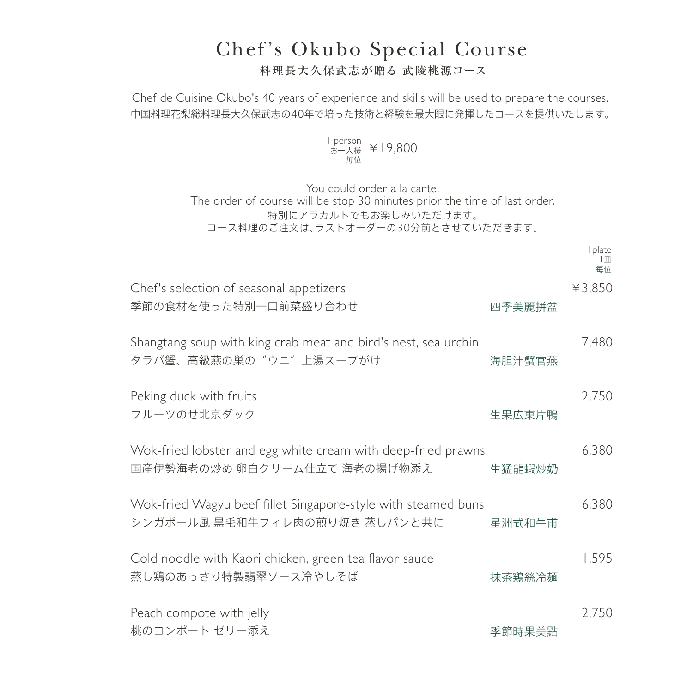### Chef's Okubo Special Course 料理長大久保武志が贈る 武陵桃源コース

Chef de Cuisine Okubo's 40 years of experience and skills will be used to prepare the courses. 中国料理花梨総料理長大久保武志の40年で培った技術と経験を最大限に発揮したコースを提供いたします。

> l person<br>お一人様 ¥ 19,800 毎位

You could order a la carte. The order of course will be stop 30 minutes prior the time of last order. 特別にアラカルトでもお楽しみいただけます。 コース料理のご注文は、ラストオーダーの30分前とさせていただきます。

|                                                                                                |        | Iplate<br>1 M<br>毎位 |
|------------------------------------------------------------------------------------------------|--------|---------------------|
| Chef's selection of seasonal appetizers<br>季節の食材を使った特別一口前菜盛り合わせ                                | 四季美麗拼盆 | ¥3,850              |
| Shangtang soup with king crab meat and bird's nest, sea urchin<br>タラバ蟹、高級燕の巣の"ウニ"上湯スープがけ       | 海胆汁蟹官燕 | <b>7,480</b>        |
| Peking duck with fruits<br>フルーツのせ北京ダック                                                         | 生果広東片鴨 | 2,750               |
| Wok-fried lobster and egg white cream with deep-fried prawns<br>国産伊勢海老の炒め 卵白クリーム仕立て 海老の揚げ物添え   | 生猛龍蝦炒奶 | 6,380               |
| Wok-fried Wagyu beef fillet Singapore-style with steamed buns<br>シンガポール風 黒毛和牛フィレ肉の煎り焼き 蒸しパンと共に | 星洲式和牛甫 | 6,380               |
| Cold noodle with Kaori chicken, green tea flavor sauce<br>蒸し鶏のあっさり特製翡翠ソース冷やしそば                 | 抹茶鶏絲冷麺 | 1,595               |
| Peach compote with jelly<br>桃のコンポート ゼリー添え                                                      | 季節時果美點 | 2,750               |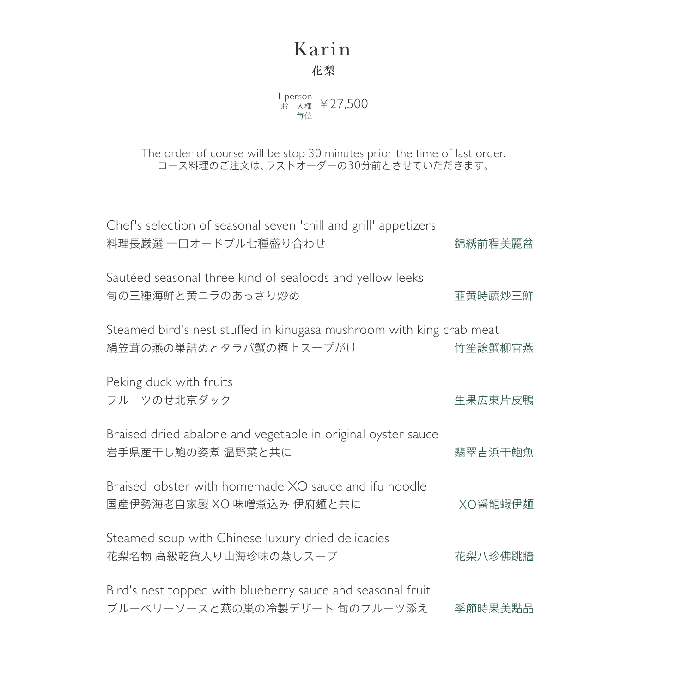### Karin 花梨

l person<br>お一人様 ¥27,500 毎位

The order of course will be stop 30 minutes prior the time of last order. コース料理のご注文は、ラストオーダーの30分前とさせていただきます。

| Chef's selection of seasonal seven 'chill and grill' appetizers<br>料理長厳選 一口オードブル七種盛り合わせ        | 錦綉前程美麗盆 |
|------------------------------------------------------------------------------------------------|---------|
| Sautéed seasonal three kind of seafoods and yellow leeks<br>旬の三種海鮮と黄ニラのあっさり炒め                  | 韮黄時蔬炒三鮮 |
| Steamed bird's nest stuffed in kinugasa mushroom with king crab meat<br>絹笠茸の燕の巣詰めとタラバ蟹の極上スープがけ | 竹笙譲蟹柳官燕 |
| Peking duck with fruits<br>フルーツのせ北京ダック                                                         | 生果広東片皮鴨 |
| Braised dried abalone and vegetable in original oyster sauce<br>岩手県産干し鮑の姿煮 温野菜と共に              | 翡翠吉浜干鮑魚 |
| Braised lobster with homemade XO sauce and ifu noodle<br>国産伊勢海老自家製 XO 味噌煮込み 伊府麵と共に             | XO醤龍蝦伊麺 |
| Steamed soup with Chinese luxury dried delicacies<br>花梨名物 高級乾貨入り山海珍味の蒸しスープ                     | 花梨八珍佛跳牆 |
| Bird's nest topped with blueberry sauce and seasonal fruit<br>ブルーベリーソースと燕の巣の冷製デザート 旬のフルーツ添え    | 季節時果美點品 |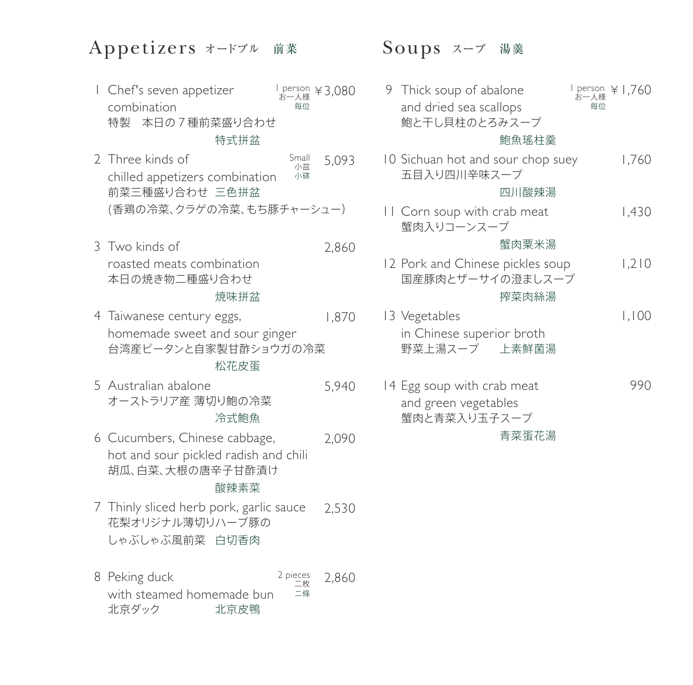### Appetizers オードブル 前菜 Soups スープ 湯羹

特製 本日の7種前菜盛り合わせ Chef's seven appetizer 1 combination l person  $\angle$ 3,080 お一人様 毎位

### 特式拼盆

- 前菜三種盛り合わせ 三色拼盆 (香鶏の冷菜、クラゲの冷菜、もち豚チャーシュー) 2 Three kinds of chilled appetizers combination 5,093 Small 小盆 小碟
- 本日の焼き物二種盛り合わせ Two kinds of 3 roasted meats combination 2,860

#### 焼味拼盆

台湾産ピータンと自家製甘酢ショウガの冷菜 Taiwanese century eggs, 4 homemade sweet and sour ginger 1,870

#### 松花皮蛋

オーストラリア産 薄切り鮑の冷菜 Australian abalone 5 5,940

#### 冷式鮑魚

胡瓜、白菜、大根の唐辛子甘酢漬け 6 Cucumbers, Chinese cabbage, hot and sour pickled radish and chili 2,090

#### 酸辣素菜

- 花梨オリジナル薄切りハーブ豚の しゃぶしゃぶ風前菜 白切香肉 Thinly sliced herb pork, garlic sauce 7 2,530
- 北京ダック 8 Peking duck with steamed homemade bun 北京皮鴨 2,860 2 pieces 二枚 ニ條

鮑と干し貝柱のとろみスープ 五目入り四川辛味スープ 蟹肉入りコーンスープ 国産豚肉とザーサイの澄ましスープ 野菜上湯スープ 蟹肉と青菜入り玉子スープ Thick soup of abalone 9 and dried sea scallops 10 Sichuan hot and sour chop suey Corn soup with crab meat 11 12 Pork and Chinese pickles soup 13 Vegetables in Chinese superior broth 14 Egg soup with crab meat and green vegetables 鮑魚瑤柱羹 四川酸辣湯 蟹肉粟米湯 搾菜肉絲湯 上素鮮菌湯 青菜蛋花湯 l person  $\angle$  1,760 1,760 1,430 1,210 1,100 990 お一人様 毎位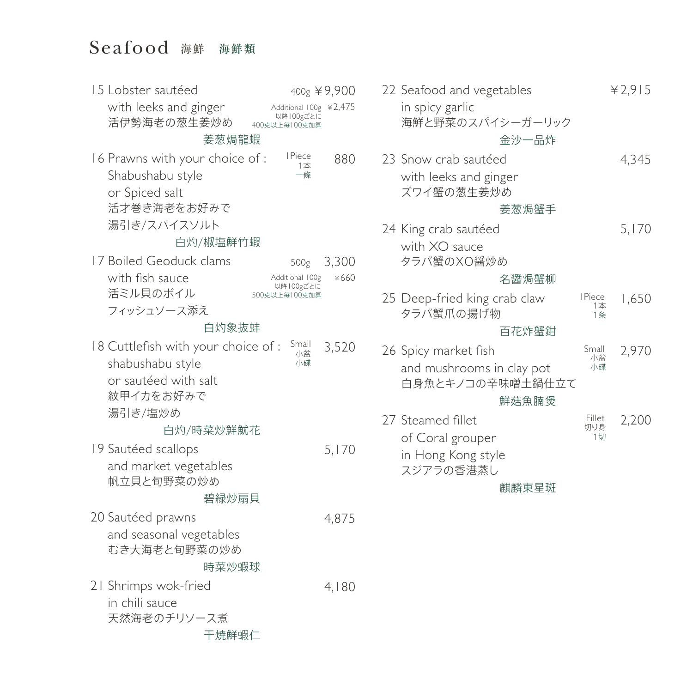### Seafood 海鮮 海鮮類

1Piece Small 1本 小盆 一條 小碟 400g ¥9,900 500g 3,300 Additional 100g ¥2,475 以降100gごとに 400克以上毎100克加算 Additional 100g ¥660 以降100gごとに 500克以上毎100克加算 活伊勢海老の葱生姜炒め 活才巻き海老をお好みで 湯引き/スパイスソルト 活ミル貝のボイル フィッシュソース添え 紋甲イカをお好みで 湯引き/塩炒め 帆立貝と旬野菜の炒め むき大海老と旬野菜の炒め 天然海老のチリソース煮 Lobster sautéed 15 with leeks and ginger 16 Prawns with your choice of : Shabushabu style or Spiced salt 17 Boiled Geoduck clams with fish sauce 18 Cuttlefish with your choice of : shabushabu style or sautéed with salt 19 Sautéed scallops and market vegetables 20 Sautéed prawns and seasonal vegetables 21 Shrimps wok-fried in chili sauce 姜葱焗龍蝦 白灼/椒塩鮮竹蝦 白灼象抜蚌 白灼/時菜炒鮮魷花 碧緑炒扇貝 時菜炒蝦球 干焼鮮蝦仁 880 3,520 5,170 4,875 4,180

| 22 Seafood and vegetables                     |                            | 42,915 |
|-----------------------------------------------|----------------------------|--------|
| in spicy garlic<br>海鮮と野菜のスパイシーガーリック           |                            |        |
| 金沙一品炸                                         |                            |        |
| 23 Snow crab sautéed                          |                            | 4,345  |
| with leeks and ginger<br>ズワイ蟹の葱生姜炒め           |                            |        |
| 姜葱焗蟹手                                         |                            |        |
| 24 King crab sautéed                          |                            | 5,170  |
| with XO sauce<br>タラバ蟹のXO醤炒め                   |                            |        |
| 名醤焗蟹柳                                         |                            |        |
| 25 Deep-fried king crab claw<br>タラバ蟹爪の揚げ物     | <b>I</b> Piece<br>1本<br>1条 | 1,650  |
| 百花炸蟹鉗                                         |                            |        |
| 26 Spicy market fish                          | Small<br>小盆                | 2,970  |
| and mushrooms in clay pot<br>白身魚とキノコの辛味噌土鍋仕立て | 小碟                         |        |
| 鮮菇魚腩煲                                         | Fillet                     |        |
| 27 Steamed fillet<br>of Coral grouper         | 切り身<br>1切                  | 2,200  |
| in Hong Kong style<br>スジアラの香港蒸し               |                            |        |
| 麒麟東星斑                                         |                            |        |
|                                               |                            |        |
|                                               |                            |        |
|                                               |                            |        |
|                                               |                            |        |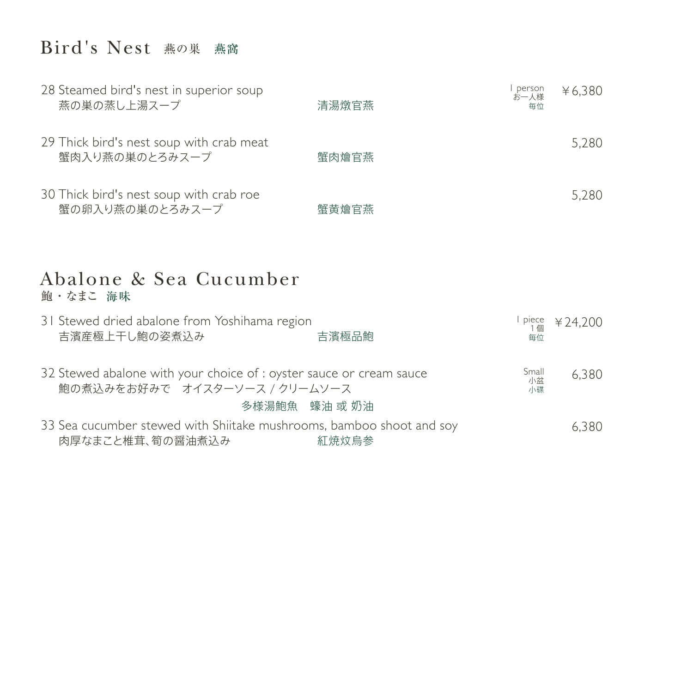# $\rm{Bird}$ 's  $\rm{Nest}$  燕の巣 燕窩

| 28 Steamed bird's nest in superior soup<br>燕の巣の蒸し上湯スープ     | 清湯燉官燕 | ,person<br>お一人様<br>毎位 | ¥6,380 |
|------------------------------------------------------------|-------|-----------------------|--------|
| 29 Thick bird's nest soup with crab meat<br>蟹肉入り燕の巣のとろみスープ | 蟹肉燴官燕 |                       | 5,280  |
| 30 Thick bird's nest soup with crab roe<br>蟹の卵入り燕の巣のとろみスープ | 蟹黄燴官燕 |                       | 5,280  |

### 鮑・なまこ 海味 Abalone & Sea Cucumber

| 31 Stewed dried abalone from Yoshihama region<br>吉濱産極上干し鮑の姿煮込み                                       | 吉濱極品鮑         | 毎位                | piece $\frac{1}{1}$ # 24,200 |
|------------------------------------------------------------------------------------------------------|---------------|-------------------|------------------------------|
| 32 Stewed abalone with your choice of : oyster sauce or cream sauce<br>鮑の煮込みをお好みで オイスターソース / クリームソース |               | Small<br>小盆<br>小碟 | 6,380                        |
|                                                                                                      | 多様湯鮑魚 蠔油 或 奶油 |                   |                              |
| 33 Sea cucumber stewed with Shiitake mushrooms, bamboo shoot and soy<br>肉厚なまこと椎茸、筍の醤油煮込み             | 紅焼炆烏参         |                   | 6.380                        |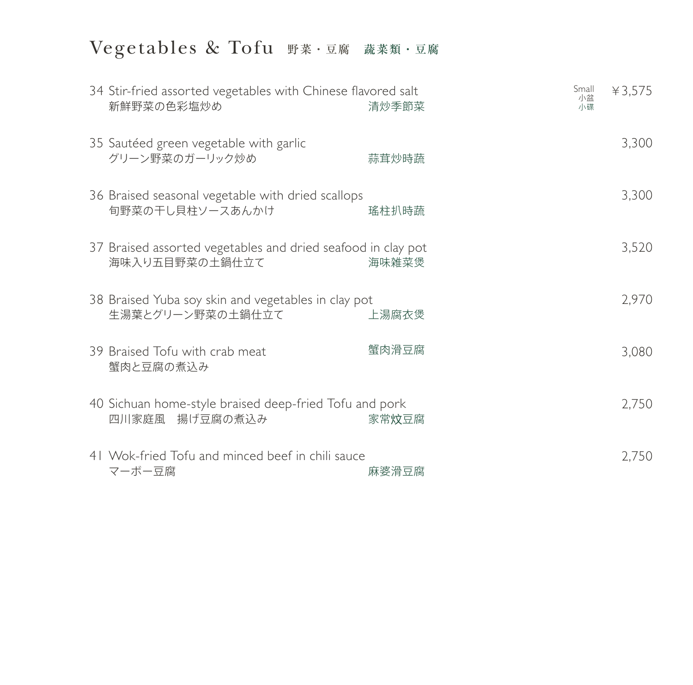# Vegetables & Tofu 野菜・豆腐 蔬菜類・豆腐

| 34 Stir-fried assorted vegetables with Chinese flavored salt<br>新鮮野菜の色彩塩炒め     | 清炒季節菜 | Small<br>小盆<br>小碟 | ¥3,575 |
|--------------------------------------------------------------------------------|-------|-------------------|--------|
| 35 Sautéed green vegetable with garlic<br>グリーン野菜のガーリック炒め                       | 蒜茸炒時蔬 |                   | 3,300  |
| 36 Braised seasonal vegetable with dried scallops<br>旬野菜の干し貝柱ソースあんかけ           | 瑤柱扒時蔬 |                   | 3,300  |
| 37 Braised assorted vegetables and dried seafood in clay pot<br>海味入り五目野菜の土鍋仕立て | 海味雑菜煲 |                   | 3,520  |
| 38 Braised Yuba soy skin and vegetables in clay pot<br>生湯葉とグリーン野菜の土鍋仕立て        | 上湯腐衣煲 |                   | 2,970  |
| 39 Braised Tofu with crab meat<br>蟹肉と豆腐の煮込み                                    | 蟹肉滑豆腐 |                   | 3,080  |
| 40 Sichuan home-style braised deep-fried Tofu and pork<br>四川家庭風 揚げ豆腐の煮込み       | 家常炆豆腐 |                   | 2,750  |
| 41 Wok-fried Tofu and minced beef in chili sauce<br>マーボー豆腐                     | 麻婆滑豆腐 |                   | 2,750  |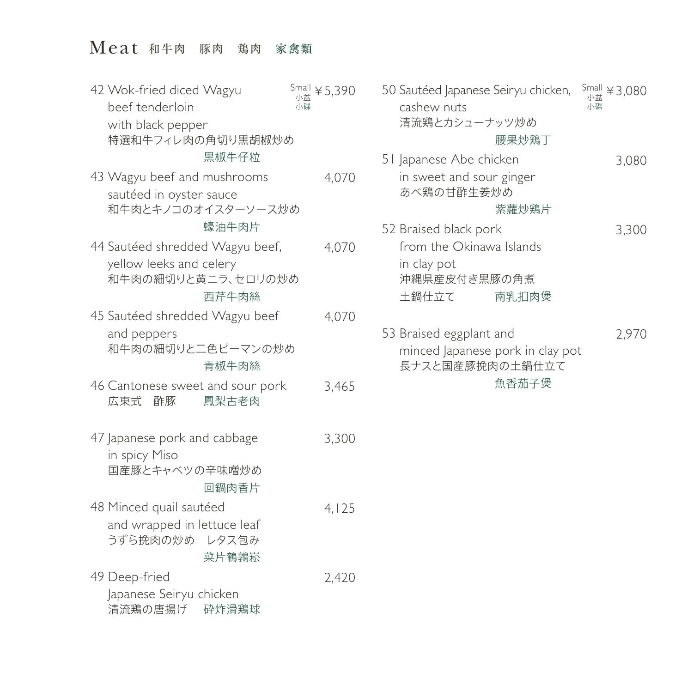# Meat 和牛肉 豚肉 鶏肉 家禽類

| 42 Wok-fried diced Wagyu<br>beef tenderloin<br>with black pepper                          | $\frac{\text{Small}}{\text{A}}$ ¥ 5,390<br>小盆<br>小碟 | 50 Sai<br>cas<br>清〉 |
|-------------------------------------------------------------------------------------------|-----------------------------------------------------|---------------------|
| 特選和牛フィレ肉の角切り黒胡椒炒め<br>黒椒牛仔粒                                                                |                                                     | 5   Jap             |
| 43 Wagyu beef and mushrooms<br>sautéed in oyster sauce<br>和牛肉とキノコのオイスターソース炒め              | 4,070                                               | in<br>あ             |
| 蠔油牛肉片                                                                                     |                                                     | 52 Bra              |
| 44 Sautéed shredded Wagyu beef,<br>yellow leeks and celery<br>和牛肉の細切りと黄ニラ、セロリの炒め<br>西芹牛肉絲 | 4,070                                               | frc<br>in<br>沖<br>土 |
| 45 Sautéed shredded Wagyu beef<br>and peppers<br>和牛肉の細切りと二色ピーマンの炒め<br>青椒牛肉絲               | 4,070                                               | 53 Bra<br>mi<br>長:  |
| 46 Cantonese sweet and sour pork<br>広東式 酢豚<br>鳳梨古老肉                                       | 3,465                                               |                     |
| 47 Japanese pork and cabbage<br>in spicy Miso<br>国産豚とキャベツの辛味噌炒め<br>回鍋肉香片                  | 3,300                                               |                     |
| 48 Minced quail sautéed<br>and wrapped in lettuce leaf<br>うずら挽肉の炒め レタス包み<br>菜片鵪鶉崧         | 4,125                                               |                     |
| 49 Deep-fried<br>Japanese Seiryu chicken<br>清流鶏の唐揚げ<br>砕炸滑鶏球                              | 2,420                                               |                     |

| 0 Sautéed Japanese Seiryu chicken,<br>cashew nuts |       | $\frac{\text{Small}}{\text{10} \times \text{10}}$ ¥ 3,080<br>小碟 |  |
|---------------------------------------------------|-------|-----------------------------------------------------------------|--|
| 清流鶏とカシューナッツ炒め                                     |       |                                                                 |  |
|                                                   | 腰果炒鶏丁 |                                                                 |  |
| I Japanese Abe chicken                            |       | 3,080                                                           |  |
| in sweet and sour ginger<br>あべ鶏の甘酢生姜炒め            |       |                                                                 |  |
|                                                   | 紫蘿炒鶏片 |                                                                 |  |
| 2 Braised black pork                              |       | 3,300                                                           |  |
| from the Okinawa Islands                          |       |                                                                 |  |
| in clay pot                                       |       |                                                                 |  |
| 沖縄県産皮付き黒豚の角煮                                      |       |                                                                 |  |
| 土鍋仕立て                                             | 南乳扣肉煲 |                                                                 |  |
|                                                   |       |                                                                 |  |
| 3 Braised eggplant and                            |       | 2,970                                                           |  |
| minced Japanese pork in clay pot                  |       |                                                                 |  |
| 長ナスと国産豚挽肉の土鍋仕立て                                   |       |                                                                 |  |
|                                                   | 魚香茄子煲 |                                                                 |  |
|                                                   |       |                                                                 |  |
|                                                   |       |                                                                 |  |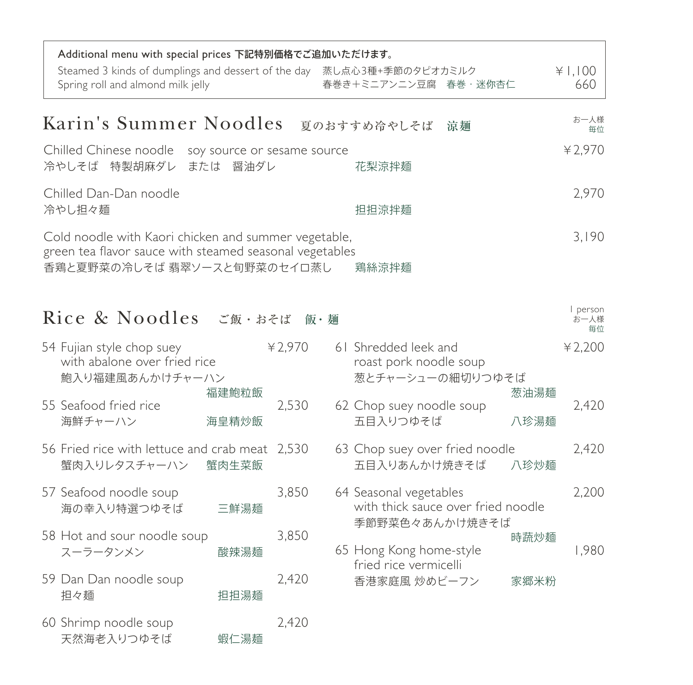| Additional menu with special prices 下記特別価格でご追加いただけます。<br>Steamed 3 kinds of dumplings and dessert of the day 蒸し点心3種+季節のタピオカミルク<br>Spring roll and almond milk jelly                                                                                                                             |                                         |         | 春巻き+ミニアンニン豆腐 春巻·迷你杏仁                                               |              | ¥  .   00<br>660     |
|-------------------------------------------------------------------------------------------------------------------------------------------------------------------------------------------------------------------------------------------------------------------------------------------------|-----------------------------------------|---------|--------------------------------------------------------------------|--------------|----------------------|
| Karin's Summer Noodles                                                                                                                                                                                                                                                                          |                                         |         | 夏のおすすめ冷やしそば<br>涼麺                                                  |              | お一人様<br>毎位           |
| Chilled Chinese noodle<br>冷やしそば 特製胡麻ダレ                                                                                                                                                                                                                                                          | soy source or sesame source<br>または 醤油ダレ |         | 花梨涼拌麺                                                              |              | 42,970               |
| Chilled Dan-Dan noodle<br>冷やし担々麺                                                                                                                                                                                                                                                                |                                         |         | 担担涼拌麺                                                              |              | 2,970                |
| Cold noodle with Kaori chicken and summer vegetable,<br>green tea flavor sauce with steamed seasonal vegetables<br>香鶏と夏野菜の冷しそば 翡翠ソースと旬野菜のセイロ蒸し                                                                                                                                                  |                                         |         | 鶏絲涼拌麺                                                              |              | 3,190                |
| Rice & Noodles $\zeta$ and $\mathbb{R}$ . $\mathbb{R}$ and $\mathbb{R}$ and $\mathbb{R}$ and $\mathbb{R}$ and $\mathbb{R}$ and $\mathbb{R}$ and $\mathbb{R}$ and $\mathbb{R}$ and $\mathbb{R}$ and $\mathbb{R}$ and $\mathbb{R}$ are $\mathbb{R}$ and $\mathbb{R}$ and $\mathbb{R}$ are $\math$ |                                         |         |                                                                    |              | person<br>お一人様<br>毎位 |
| 54 Fujian style chop suey<br>with abalone over fried rice<br>鮑入り福建風あんかけチャーハン                                                                                                                                                                                                                    |                                         | ¥ 2,970 | 61 Shredded leek and<br>roast pork noodle soup<br>葱とチャーシューの細切りつゆそば |              | ¥ 2,200              |
| 55 Seafood fried rice<br>海鮮チャーハン                                                                                                                                                                                                                                                                | 福建鮑粒飯<br>海皇精炒飯                          | 2,530   | 62 Chop suey noodle soup<br>五目入りつゆそば                               | 葱油湯麺<br>八珍湯麺 | 2,420                |
| 56 Fried rice with lettuce and crab meat 2,530<br>蟹肉入りレタスチャーハン 蟹肉生菜飯                                                                                                                                                                                                                            |                                         |         | 63 Chop suey over fried noodle<br>五目入りあんかけ焼きそば                     | 八珍炒麺         | 2,420                |
| 57 Seafood noodle soup<br>海の幸入り特選つゆそば                                                                                                                                                                                                                                                           | 三鮮湯麺                                    | 3,850   | 64 Seasonal vegetables<br>with thick sauce over fried noodle       |              | 2,200                |
| 58 Hot and sour noodle soup<br>スーラータンメン                                                                                                                                                                                                                                                         | 酸辣湯麺                                    | 3,850   | 季節野菜色々あんかけ焼きそば<br>65 Hong Kong home-style<br>fried rice vermicelli | 時蔬炒麺         | 1,980                |
| 59 Dan Dan noodle soup<br>担々麺                                                                                                                                                                                                                                                                   | 担担湯麺                                    | 2,420   | 香港家庭風 炒めビーフン                                                       | 家郷米粉         |                      |
| 60 Shrimp noodle soup<br>天然海老入りつゆそば                                                                                                                                                                                                                                                             | 蝦仁湯麺                                    | 2,420   |                                                                    |              |                      |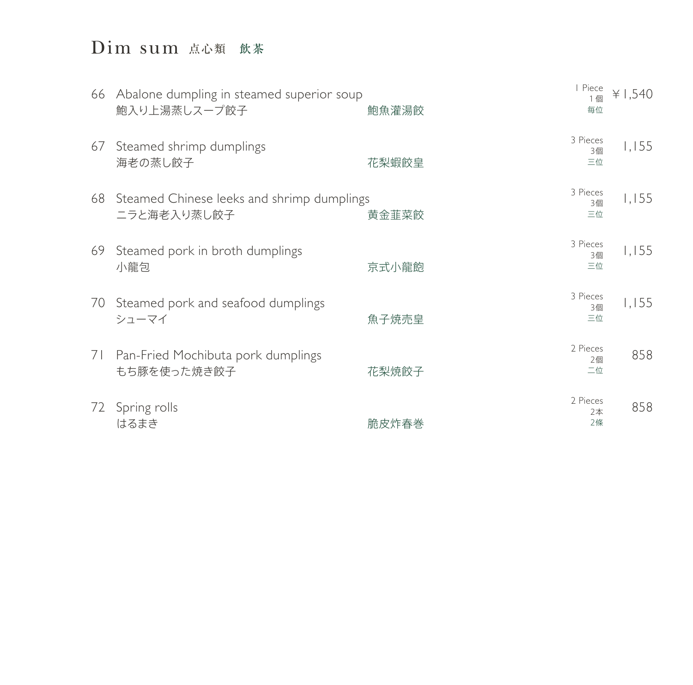# Dim sum 点心類 飲茶

|    | 66 Abalone dumpling in steamed superior soup<br>鮑入り上湯蒸しスープ餃子 | 鮑魚灌湯餃 | I Piece<br>1個<br>毎位  | ¥ 1,540 |
|----|--------------------------------------------------------------|-------|----------------------|---------|
| 67 | Steamed shrimp dumplings<br>海老の蒸し餃子                          | 花梨蝦餃皇 | 3 Pieces<br>3個<br>三位 | 1,155   |
| 68 | Steamed Chinese leeks and shrimp dumplings<br>ニラと海老入り蒸し餃子    | 黄金韮菜餃 | 3 Pieces<br>3個<br>三位 | 1,155   |
| 69 | Steamed pork in broth dumplings<br>小龍包                       | 京式小龍飽 | 3 Pieces<br>3個<br>三位 | 1,155   |
| 70 | Steamed pork and seafood dumplings<br>シューマイ                  | 魚子焼売皇 | 3 Pieces<br>3個<br>三位 | 1,155   |
| 71 | Pan-Fried Mochibuta pork dumplings<br>もち豚を使った焼き餃子            | 花梨焼餃子 | 2 Pieces<br>2個<br>二位 | 858     |
| 72 | Spring rolls<br>はるまき                                         | 脆皮炸春巻 | 2 Pieces<br>2本<br>2條 | 858     |